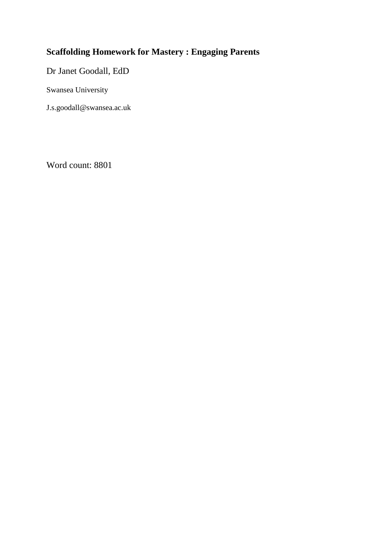# **Scaffolding Homework for Mastery : Engaging Parents**

Dr Janet Goodall, EdD

Swansea University

J.s.goodall@swansea.ac.uk

Word count: 8801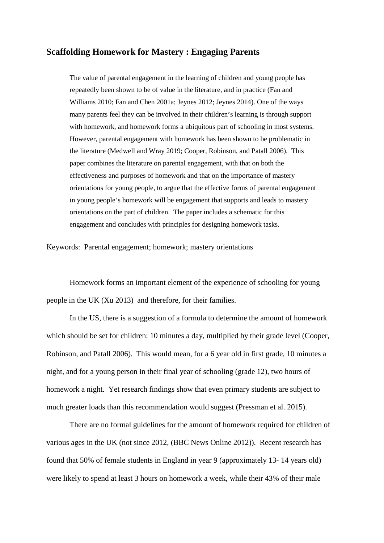# **Scaffolding Homework for Mastery : Engaging Parents**

The value of parental engagement in the learning of children and young people has repeatedly been shown to be of value in the literature, and in practice (Fan and Williams 2010; Fan and Chen 2001a; Jeynes 2012; Jeynes 2014). One of the ways many parents feel they can be involved in their children's learning is through support with homework, and homework forms a ubiquitous part of schooling in most systems. However, parental engagement with homework has been shown to be problematic in the literature (Medwell and Wray 2019; Cooper, Robinson, and Patall 2006). This paper combines the literature on parental engagement, with that on both the effectiveness and purposes of homework and that on the importance of mastery orientations for young people, to argue that the effective forms of parental engagement in young people's homework will be engagement that supports and leads to mastery orientations on the part of children. The paper includes a schematic for this engagement and concludes with principles for designing homework tasks.

Keywords: Parental engagement; homework; mastery orientations

Homework forms an important element of the experience of schooling for young people in the UK (Xu 2013) and therefore, for their families.

In the US, there is a suggestion of a formula to determine the amount of homework which should be set for children: 10 minutes a day, multiplied by their grade level (Cooper, Robinson, and Patall 2006). This would mean, for a 6 year old in first grade, 10 minutes a night, and for a young person in their final year of schooling (grade 12), two hours of homework a night. Yet research findings show that even primary students are subject to much greater loads than this recommendation would suggest (Pressman et al. 2015).

There are no formal guidelines for the amount of homework required for children of various ages in the UK (not since 2012, (BBC News Online 2012)). Recent research has found that 50% of female students in England in year 9 (approximately 13- 14 years old) were likely to spend at least 3 hours on homework a week, while their 43% of their male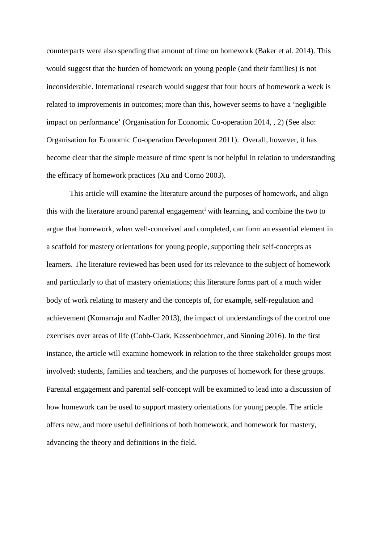counterparts were also spending that amount of time on homework (Baker et al. 2014). This would suggest that the burden of homework on young people (and their families) is not inconsiderable. International research would suggest that four hours of homework a week is related to improvements in outcomes; more than this, however seems to have a 'negligible impact on performance' (Organisation for Economic Co-operation 2014, , 2) (See also: Organisation for Economic Co-operation Development 2011). Overall, however, it has become clear that the simple measure of time spent is not helpful in relation to understanding the efficacy of homework practices (Xu and Corno 2003).

This article will examine the literature around the purposes of homework, and align th[i](#page-33-0)s with the literature around parental engagement<sup>i</sup> with learning, and combine the two to argue that homework, when well-conceived and completed, can form an essential element in a scaffold for mastery orientations for young people, supporting their self-concepts as learners. The literature reviewed has been used for its relevance to the subject of homework and particularly to that of mastery orientations; this literature forms part of a much wider body of work relating to mastery and the concepts of, for example, self-regulation and achievement (Komarraju and Nadler 2013), the impact of understandings of the control one exercises over areas of life (Cobb-Clark, Kassenboehmer, and Sinning 2016). In the first instance, the article will examine homework in relation to the three stakeholder groups most involved: students, families and teachers, and the purposes of homework for these groups. Parental engagement and parental self-concept will be examined to lead into a discussion of how homework can be used to support mastery orientations for young people. The article offers new, and more useful definitions of both homework, and homework for mastery, advancing the theory and definitions in the field.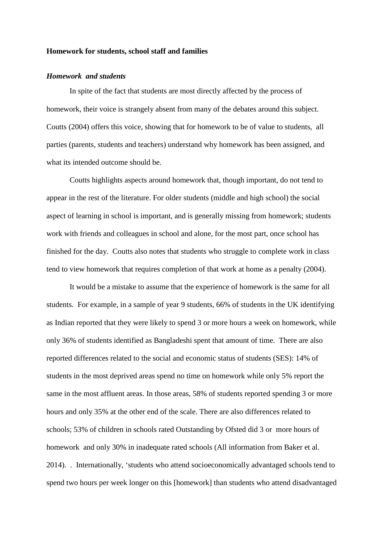### **Homework for students, school staff and families**

## *Homework and students*

In spite of the fact that students are most directly affected by the process of homework, their voice is strangely absent from many of the debates around this subject. Coutts (2004) offers this voice, showing that for homework to be of value to students, all parties (parents, students and teachers) understand why homework has been assigned, and what its intended outcome should be.

Coutts highlights aspects around homework that, though important, do not tend to appear in the rest of the literature. For older students (middle and high school) the social aspect of learning in school is important, and is generally missing from homework; students work with friends and colleagues in school and alone, for the most part, once school has finished for the day. Coutts also notes that students who struggle to complete work in class tend to view homework that requires completion of that work at home as a penalty (2004).

It would be a mistake to assume that the experience of homework is the same for all students. For example, in a sample of year 9 students, 66% of students in the UK identifying as Indian reported that they were likely to spend 3 or more hours a week on homework, while only 36% of students identified as Bangladeshi spent that amount of time. There are also reported differences related to the social and economic status of students (SES): 14% of students in the most deprived areas spend no time on homework while only 5% report the same in the most affluent areas. In those areas, 58% of students reported spending 3 or more hours and only 35% at the other end of the scale. There are also differences related to schools; 53% of children in schools rated Outstanding by Ofsted did 3 or more hours of homework and only 30% in inadequate rated schools (All information from Baker et al. 2014). . Internationally, 'students who attend socioeconomically advantaged schools tend to spend two hours per week longer on this [homework] than students who attend disadvantaged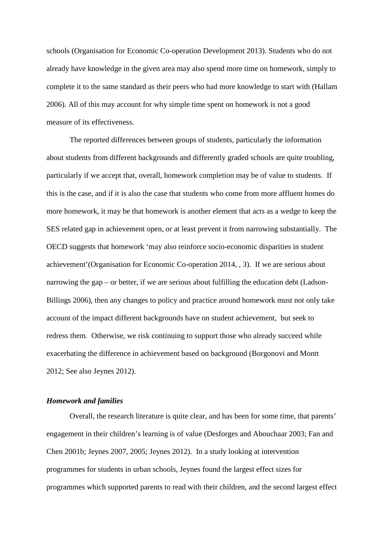schools (Organisation for Economic Co-operation Development 2013). Students who do not already have knowledge in the given area may also spend more time on homework, simply to complete it to the same standard as their peers who had more knowledge to start with (Hallam 2006). All of this may account for why simple time spent on homework is not a good measure of its effectiveness.

The reported differences between groups of students, particularly the information about students from different backgrounds and differently graded schools are quite troubling, particularly if we accept that, overall, homework completion may be of value to students. If this is the case, and if it is also the case that students who come from more affluent homes do more homework, it may be that homework is another element that acts as a wedge to keep the SES related gap in achievement open, or at least prevent it from narrowing substantially. The OECD suggests that homework 'may also reinforce socio-economic disparities in student achievement'(Organisation for Economic Co-operation 2014, , 3). If we are serious about narrowing the gap – or better, if we are serious about fulfilling the education debt (Ladson-Billings 2006), then any changes to policy and practice around homework must not only take account of the impact different backgrounds have on student achievement, but seek to redress them. Otherwise, we risk continuing to support those who already succeed while exacerbating the difference in achievement based on background (Borgonovi and Montt 2012; See also Jeynes 2012).

# *Homework and families*

Overall, the research literature is quite clear, and has been for some time, that parents' engagement in their children's learning is of value (Desforges and Abouchaar 2003; Fan and Chen 2001b; Jeynes 2007, 2005; Jeynes 2012). In a study looking at intervention programmes for students in urban schools, Jeynes found the largest effect sizes for programmes which supported parents to read with their children, and the second largest effect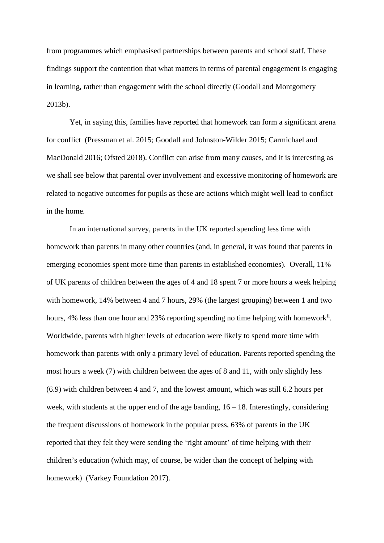from programmes which emphasised partnerships between parents and school staff. These findings support the contention that what matters in terms of parental engagement is engaging in learning, rather than engagement with the school directly (Goodall and Montgomery 2013b).

Yet, in saying this, families have reported that homework can form a significant arena for conflict (Pressman et al. 2015; Goodall and Johnston-Wilder 2015; Carmichael and MacDonald 2016; Ofsted 2018). Conflict can arise from many causes, and it is interesting as we shall see below that parental over involvement and excessive monitoring of homework are related to negative outcomes for pupils as these are actions which might well lead to conflict in the home.

In an international survey, parents in the UK reported spending less time with homework than parents in many other countries (and, in general, it was found that parents in emerging economies spent more time than parents in established economies). Overall, 11% of UK parents of children between the ages of 4 and 18 spent 7 or more hours a week helping with homework, 14% between 4 and 7 hours, 29% (the largest grouping) between 1 and two hours, 4% less than one hour and 23% reporting spending no time helping with homework<sup>[ii](#page-33-1)</sup>. Worldwide, parents with higher levels of education were likely to spend more time with homework than parents with only a primary level of education. Parents reported spending the most hours a week (7) with children between the ages of 8 and 11, with only slightly less (6.9) with children between 4 and 7, and the lowest amount, which was still 6.2 hours per week, with students at the upper end of the age banding,  $16 - 18$ . Interestingly, considering the frequent discussions of homework in the popular press, 63% of parents in the UK reported that they felt they were sending the 'right amount' of time helping with their children's education (which may, of course, be wider than the concept of helping with homework) (Varkey Foundation 2017).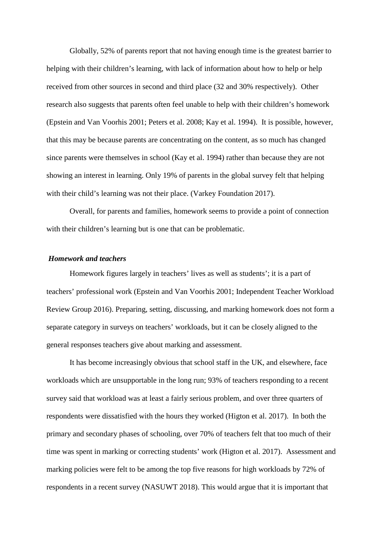Globally, 52% of parents report that not having enough time is the greatest barrier to helping with their children's learning, with lack of information about how to help or help received from other sources in second and third place (32 and 30% respectively). Other research also suggests that parents often feel unable to help with their children's homework (Epstein and Van Voorhis 2001; Peters et al. 2008; Kay et al. 1994). It is possible, however, that this may be because parents are concentrating on the content, as so much has changed since parents were themselves in school (Kay et al. 1994) rather than because they are not showing an interest in learning. Only 19% of parents in the global survey felt that helping with their child's learning was not their place. (Varkey Foundation 2017).

Overall, for parents and families, homework seems to provide a point of connection with their children's learning but is one that can be problematic.

# *Homework and teachers*

Homework figures largely in teachers' lives as well as students'; it is a part of teachers' professional work (Epstein and Van Voorhis 2001; Independent Teacher Workload Review Group 2016). Preparing, setting, discussing, and marking homework does not form a separate category in surveys on teachers' workloads, but it can be closely aligned to the general responses teachers give about marking and assessment.

It has become increasingly obvious that school staff in the UK, and elsewhere, face workloads which are unsupportable in the long run; 93% of teachers responding to a recent survey said that workload was at least a fairly serious problem, and over three quarters of respondents were dissatisfied with the hours they worked (Higton et al. 2017). In both the primary and secondary phases of schooling, over 70% of teachers felt that too much of their time was spent in marking or correcting students' work (Higton et al. 2017). Assessment and marking policies were felt to be among the top five reasons for high workloads by 72% of respondents in a recent survey (NASUWT 2018). This would argue that it is important that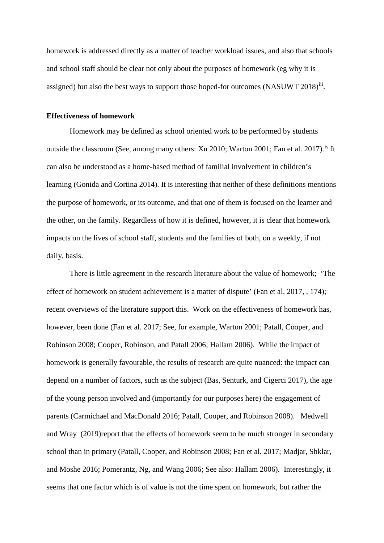homework is addressed directly as a matter of teacher workload issues, and also that schools and school staff should be clear not only about the purposes of homework (eg why it is assigned) but also the best ways to support those hoped-for outcomes (NASUWT 2018)<sup>[iii](#page-33-2)</sup>.

#### **Effectiveness of homework**

Homework may be defined as school oriented work to be performed by students outside the classroom (See, among many others: Xu 2010; Warton 2001; Fan et al. 2017).<sup>[iv](#page-33-3)</sup> It can also be understood as a home-based method of familial involvement in children's learning (Gonida and Cortina 2014). It is interesting that neither of these definitions mentions the purpose of homework, or its outcome, and that one of them is focused on the learner and the other, on the family. Regardless of how it is defined, however, it is clear that homework impacts on the lives of school staff, students and the families of both, on a weekly, if not daily, basis.

There is little agreement in the research literature about the value of homework; 'The effect of homework on student achievement is a matter of dispute' (Fan et al. 2017, , 174); recent overviews of the literature support this. Work on the effectiveness of homework has, however, been done (Fan et al. 2017; See, for example, Warton 2001; Patall, Cooper, and Robinson 2008; Cooper, Robinson, and Patall 2006; Hallam 2006). While the impact of homework is generally favourable, the results of research are quite nuanced: the impact can depend on a number of factors, such as the subject (Bas, Senturk, and Cigerci 2017), the age of the young person involved and (importantly for our purposes here) the engagement of parents (Carmichael and MacDonald 2016; Patall, Cooper, and Robinson 2008). Medwell and Wray (2019)report that the effects of homework seem to be much stronger in secondary school than in primary (Patall, Cooper, and Robinson 2008; Fan et al. 2017; Madjar, Shklar, and Moshe 2016; Pomerantz, Ng, and Wang 2006; See also: Hallam 2006). Interestingly, it seems that one factor which is of value is not the time spent on homework, but rather the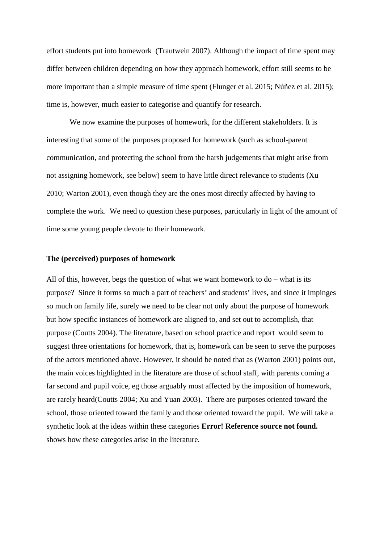effort students put into homework (Trautwein 2007). Although the impact of time spent may differ between children depending on how they approach homework, effort still seems to be more important than a simple measure of time spent (Flunger et al. 2015; Núñez et al. 2015); time is, however, much easier to categorise and quantify for research.

We now examine the purposes of homework, for the different stakeholders. It is interesting that some of the purposes proposed for homework (such as school-parent communication, and protecting the school from the harsh judgements that might arise from not assigning homework, see below) seem to have little direct relevance to students (Xu 2010; Warton 2001), even though they are the ones most directly affected by having to complete the work. We need to question these purposes, particularly in light of the amount of time some young people devote to their homework.

#### **The (perceived) purposes of homework**

All of this, however, begs the question of what we want homework to  $do - what$  is its purpose? Since it forms so much a part of teachers' and students' lives, and since it impinges so much on family life, surely we need to be clear not only about the purpose of homework but how specific instances of homework are aligned to, and set out to accomplish, that purpose (Coutts 2004). The literature, based on school practice and report would seem to suggest three orientations for homework, that is, homework can be seen to serve the purposes of the actors mentioned above. However, it should be noted that as (Warton 2001) points out, the main voices highlighted in the literature are those of school staff, with parents coming a far second and pupil voice, eg those arguably most affected by the imposition of homework, are rarely heard(Coutts 2004; Xu and Yuan 2003). There are purposes oriented toward the school, those oriented toward the family and those oriented toward the pupil. We will take a synthetic look at the ideas within these categories **Error! Reference source not found.** shows how these categories arise in the literature.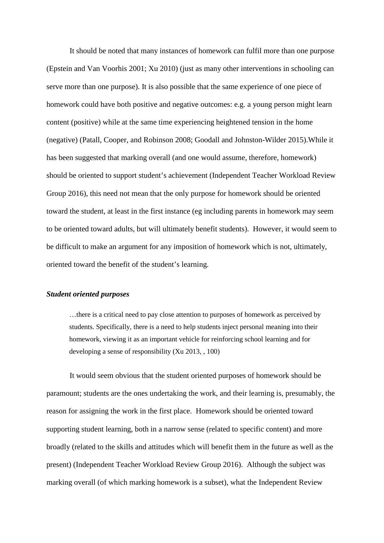It should be noted that many instances of homework can fulfil more than one purpose (Epstein and Van Voorhis 2001; Xu 2010) (just as many other interventions in schooling can serve more than one purpose). It is also possible that the same experience of one piece of homework could have both positive and negative outcomes: e.g. a young person might learn content (positive) while at the same time experiencing heightened tension in the home (negative) (Patall, Cooper, and Robinson 2008; Goodall and Johnston-Wilder 2015).While it has been suggested that marking overall (and one would assume, therefore, homework) should be oriented to support student's achievement (Independent Teacher Workload Review Group 2016), this need not mean that the only purpose for homework should be oriented toward the student, at least in the first instance (eg including parents in homework may seem to be oriented toward adults, but will ultimately benefit students). However, it would seem to be difficult to make an argument for any imposition of homework which is not, ultimately, oriented toward the benefit of the student's learning.

# *Student oriented purposes*

…there is a critical need to pay close attention to purposes of homework as perceived by students. Specifically, there is a need to help students inject personal meaning into their homework, viewing it as an important vehicle for reinforcing school learning and for developing a sense of responsibility (Xu 2013, , 100)

It would seem obvious that the student oriented purposes of homework should be paramount; students are the ones undertaking the work, and their learning is, presumably, the reason for assigning the work in the first place. Homework should be oriented toward supporting student learning, both in a narrow sense (related to specific content) and more broadly (related to the skills and attitudes which will benefit them in the future as well as the present) (Independent Teacher Workload Review Group 2016). Although the subject was marking overall (of which marking homework is a subset), what the Independent Review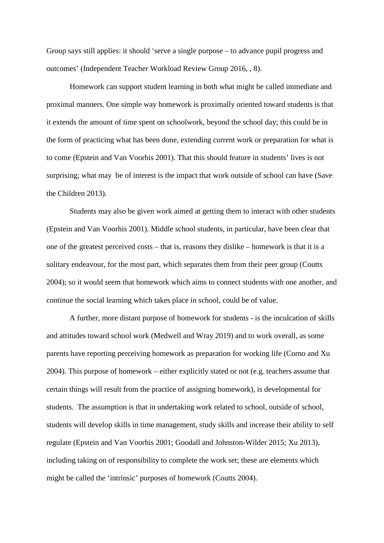Group says still applies: it should 'serve a single purpose – to advance pupil progress and outcomes' (Independent Teacher Workload Review Group 2016, , 8).

Homework can support student learning in both what might be called immediate and proximal manners. One simple way homework is proximally oriented toward students is that it extends the amount of time spent on schoolwork, beyond the school day; this could be in the form of practicing what has been done, extending current work or preparation for what is to come (Epstein and Van Voorhis 2001). That this should feature in students' lives is not surprising; what may be of interest is the impact that work outside of school can have (Save the Children 2013).

Students may also be given work aimed at getting them to interact with other students (Epstein and Van Voorhis 2001). Middle school students, in particular, have been clear that one of the greatest perceived costs – that is, reasons they dislike – homework is that it is a solitary endeavour, for the most part, which separates them from their peer group (Coutts 2004); so it would seem that homework which aims to connect students with one another, and continue the social learning which takes place in school, could be of value.

A further, more distant purpose of homework for students - is the inculcation of skills and attitudes toward school work (Medwell and Wray 2019) and to work overall, as some parents have reporting perceiving homework as preparation for working life (Corno and Xu 2004). This purpose of homework – either explicitly stated or not (e.g. teachers assume that certain things will result from the practice of assigning homework), is developmental for students. The assumption is that in undertaking work related to school, outside of school, students will develop skills in time management, study skills and increase their ability to self regulate (Epstein and Van Voorhis 2001; Goodall and Johnston-Wilder 2015; Xu 2013), including taking on of responsibility to complete the work set; these are elements which might be called the 'intrinsic' purposes of homework (Coutts 2004).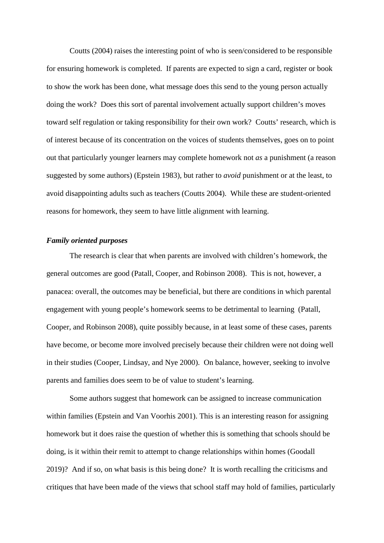Coutts (2004) raises the interesting point of who is seen/considered to be responsible for ensuring homework is completed. If parents are expected to sign a card, register or book to show the work has been done, what message does this send to the young person actually doing the work? Does this sort of parental involvement actually support children's moves toward self regulation or taking responsibility for their own work? Coutts' research, which is of interest because of its concentration on the voices of students themselves, goes on to point out that particularly younger learners may complete homework not *as* a punishment (a reason suggested by some authors) (Epstein 1983), but rather to *avoid* punishment or at the least, to avoid disappointing adults such as teachers (Coutts 2004). While these are student-oriented reasons for homework, they seem to have little alignment with learning.

## *Family oriented purposes*

The research is clear that when parents are involved with children's homework, the general outcomes are good (Patall, Cooper, and Robinson 2008). This is not, however, a panacea: overall, the outcomes may be beneficial, but there are conditions in which parental engagement with young people's homework seems to be detrimental to learning (Patall, Cooper, and Robinson 2008), quite possibly because, in at least some of these cases, parents have become, or become more involved precisely because their children were not doing well in their studies (Cooper, Lindsay, and Nye 2000). On balance, however, seeking to involve parents and families does seem to be of value to student's learning.

Some authors suggest that homework can be assigned to increase communication within families (Epstein and Van Voorhis 2001). This is an interesting reason for assigning homework but it does raise the question of whether this is something that schools should be doing, is it within their remit to attempt to change relationships within homes (Goodall 2019)? And if so, on what basis is this being done? It is worth recalling the criticisms and critiques that have been made of the views that school staff may hold of families, particularly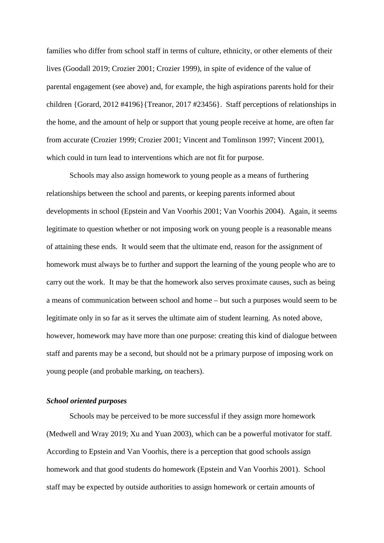families who differ from school staff in terms of culture, ethnicity, or other elements of their lives (Goodall 2019; Crozier 2001; Crozier 1999), in spite of evidence of the value of parental engagement (see above) and, for example, the high aspirations parents hold for their children {Gorard, 2012 #4196}{Treanor, 2017 #23456}. Staff perceptions of relationships in the home, and the amount of help or support that young people receive at home, are often far from accurate (Crozier 1999; Crozier 2001; Vincent and Tomlinson 1997; Vincent 2001), which could in turn lead to interventions which are not fit for purpose.

Schools may also assign homework to young people as a means of furthering relationships between the school and parents, or keeping parents informed about developments in school (Epstein and Van Voorhis 2001; Van Voorhis 2004). Again, it seems legitimate to question whether or not imposing work on young people is a reasonable means of attaining these ends. It would seem that the ultimate end, reason for the assignment of homework must always be to further and support the learning of the young people who are to carry out the work. It may be that the homework also serves proximate causes, such as being a means of communication between school and home – but such a purposes would seem to be legitimate only in so far as it serves the ultimate aim of student learning. As noted above, however, homework may have more than one purpose: creating this kind of dialogue between staff and parents may be a second, but should not be a primary purpose of imposing work on young people (and probable marking, on teachers).

# *School oriented purposes*

Schools may be perceived to be more successful if they assign more homework (Medwell and Wray 2019; Xu and Yuan 2003), which can be a powerful motivator for staff. According to Epstein and Van Voorhis, there is a perception that good schools assign homework and that good students do homework (Epstein and Van Voorhis 2001). School staff may be expected by outside authorities to assign homework or certain amounts of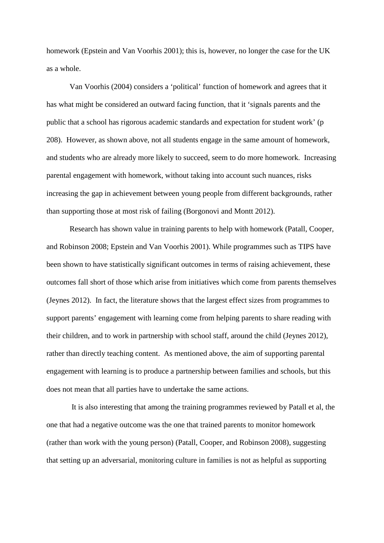homework (Epstein and Van Voorhis 2001); this is, however, no longer the case for the UK as a whole.

Van Voorhis (2004) considers a 'political' function of homework and agrees that it has what might be considered an outward facing function, that it 'signals parents and the public that a school has rigorous academic standards and expectation for student work' (p 208). However, as shown above, not all students engage in the same amount of homework, and students who are already more likely to succeed, seem to do more homework. Increasing parental engagement with homework, without taking into account such nuances, risks increasing the gap in achievement between young people from different backgrounds, rather than supporting those at most risk of failing (Borgonovi and Montt 2012).

Research has shown value in training parents to help with homework (Patall, Cooper, and Robinson 2008; Epstein and Van Voorhis 2001). While programmes such as TIPS have been shown to have statistically significant outcomes in terms of raising achievement, these outcomes fall short of those which arise from initiatives which come from parents themselves (Jeynes 2012). In fact, the literature shows that the largest effect sizes from programmes to support parents' engagement with learning come from helping parents to share reading with their children, and to work in partnership with school staff, around the child (Jeynes 2012), rather than directly teaching content. As mentioned above, the aim of supporting parental engagement with learning is to produce a partnership between families and schools, but this does not mean that all parties have to undertake the same actions.

It is also interesting that among the training programmes reviewed by Patall et al, the one that had a negative outcome was the one that trained parents to monitor homework (rather than work with the young person) (Patall, Cooper, and Robinson 2008), suggesting that setting up an adversarial, monitoring culture in families is not as helpful as supporting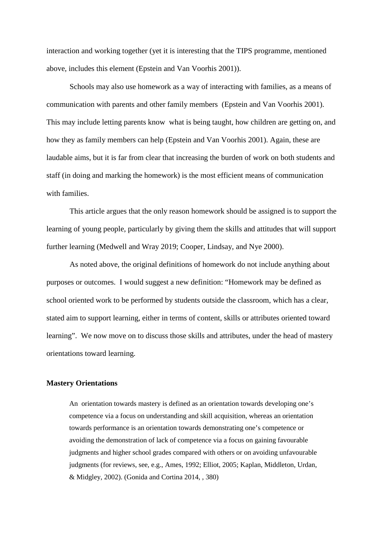interaction and working together (yet it is interesting that the TIPS programme, mentioned above, includes this element (Epstein and Van Voorhis 2001)).

Schools may also use homework as a way of interacting with families, as a means of communication with parents and other family members (Epstein and Van Voorhis 2001). This may include letting parents know what is being taught, how children are getting on, and how they as family members can help (Epstein and Van Voorhis 2001). Again, these are laudable aims, but it is far from clear that increasing the burden of work on both students and staff (in doing and marking the homework) is the most efficient means of communication with families.

This article argues that the only reason homework should be assigned is to support the learning of young people, particularly by giving them the skills and attitudes that will support further learning (Medwell and Wray 2019; Cooper, Lindsay, and Nye 2000).

As noted above, the original definitions of homework do not include anything about purposes or outcomes. I would suggest a new definition: "Homework may be defined as school oriented work to be performed by students outside the classroom, which has a clear, stated aim to support learning, either in terms of content, skills or attributes oriented toward learning". We now move on to discuss those skills and attributes, under the head of mastery orientations toward learning.

#### **Mastery Orientations**

An orientation towards mastery is defined as an orientation towards developing one's competence via a focus on understanding and skill acquisition, whereas an orientation towards performance is an orientation towards demonstrating one's competence or avoiding the demonstration of lack of competence via a focus on gaining favourable judgments and higher school grades compared with others or on avoiding unfavourable judgments (for reviews, see, e.g., Ames, 1992; Elliot, 2005; Kaplan, Middleton, Urdan, & Midgley, 2002). (Gonida and Cortina 2014, , 380)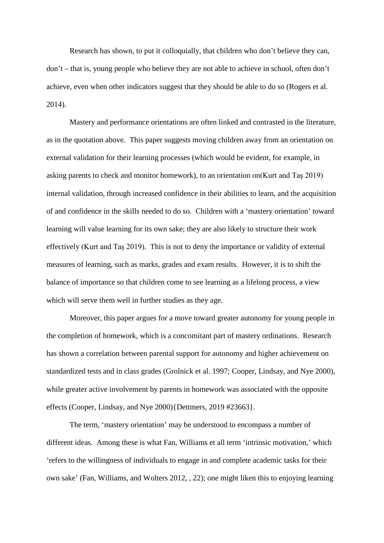Research has shown, to put it colloquially, that children who don't believe they can, don't – that is, young people who believe they are not able to achieve in school, often don't achieve, even when other indicators suggest that they should be able to do so (Rogers et al. 2014).

Mastery and performance orientations are often linked and contrasted in the literature, as in the quotation above. This paper suggests moving children away from an orientation on external validation for their learning processes (which would be evident, for example, in asking parents to check and monitor homework), to an orientation on(Kurt and Taş 2019) internal validation, through increased confidence in their abilities to learn, and the acquisition of and confidence in the skills needed to do so. Children with a 'mastery orientation' toward learning will value learning for its own sake; they are also likely to structure their work effectively (Kurt and Taş 2019). This is not to deny the importance or validity of external measures of learning, such as marks, grades and exam results. However, it is to shift the balance of importance so that children come to see learning as a lifelong process, a view which will serve them well in further studies as they age.

Moreover, this paper argues for a move toward greater autonomy for young people in the completion of homework, which is a concomitant part of mastery ordinations. Research has shown a correlation between parental support for autonomy and higher achievement on standardized tests and in class grades (Grolnick et al. 1997; Cooper, Lindsay, and Nye 2000), while greater active involvement by parents in homework was associated with the opposite effects (Cooper, Lindsay, and Nye 2000){Dettmers, 2019 #23663}.

The term, 'mastery orientation' may be understood to encompass a number of different ideas. Among these is what Fan, Williams et all term 'intrinsic motivation,' which 'refers to the willingness of individuals to engage in and complete academic tasks for their own sake' (Fan, Williams, and Wolters 2012, , 22); one might liken this to enjoying learning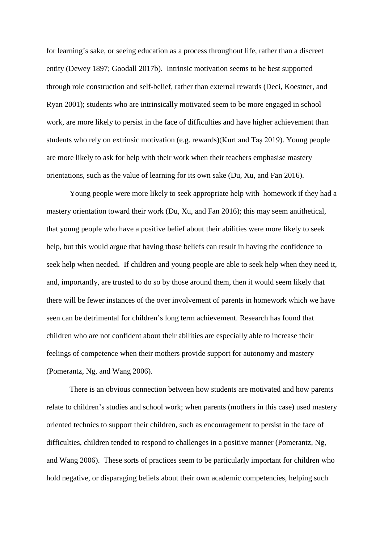for learning's sake, or seeing education as a process throughout life, rather than a discreet entity (Dewey 1897; Goodall 2017b). Intrinsic motivation seems to be best supported through role construction and self-belief, rather than external rewards (Deci, Koestner, and Ryan 2001); students who are intrinsically motivated seem to be more engaged in school work, are more likely to persist in the face of difficulties and have higher achievement than students who rely on extrinsic motivation (e.g. rewards)(Kurt and Taş 2019). Young people are more likely to ask for help with their work when their teachers emphasise mastery orientations, such as the value of learning for its own sake (Du, Xu, and Fan 2016).

Young people were more likely to seek appropriate help with homework if they had a mastery orientation toward their work (Du, Xu, and Fan 2016); this may seem antithetical, that young people who have a positive belief about their abilities were more likely to seek help, but this would argue that having those beliefs can result in having the confidence to seek help when needed. If children and young people are able to seek help when they need it, and, importantly, are trusted to do so by those around them, then it would seem likely that there will be fewer instances of the over involvement of parents in homework which we have seen can be detrimental for children's long term achievement. Research has found that children who are not confident about their abilities are especially able to increase their feelings of competence when their mothers provide support for autonomy and mastery (Pomerantz, Ng, and Wang 2006).

There is an obvious connection between how students are motivated and how parents relate to children's studies and school work; when parents (mothers in this case) used mastery oriented technics to support their children, such as encouragement to persist in the face of difficulties, children tended to respond to challenges in a positive manner (Pomerantz, Ng, and Wang 2006). These sorts of practices seem to be particularly important for children who hold negative, or disparaging beliefs about their own academic competencies, helping such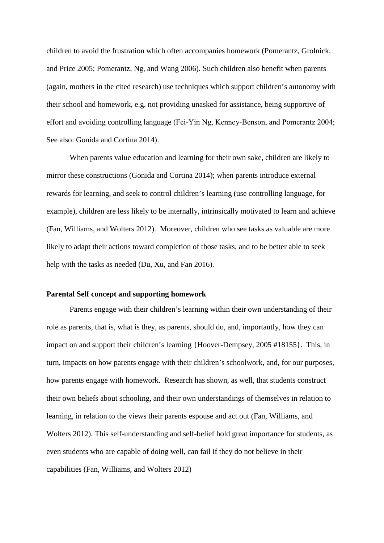children to avoid the frustration which often accompanies homework (Pomerantz, Grolnick, and Price 2005; Pomerantz, Ng, and Wang 2006). Such children also benefit when parents (again, mothers in the cited research) use techniques which support children's autonomy with their school and homework, e.g. not providing unasked for assistance, being supportive of effort and avoiding controlling language (Fei‐Yin Ng, Kenney‐Benson, and Pomerantz 2004; See also: Gonida and Cortina 2014).

When parents value education and learning for their own sake, children are likely to mirror these constructions (Gonida and Cortina 2014); when parents introduce external rewards for learning, and seek to control children's learning (use controlling language, for example), children are less likely to be internally, intrinsically motivated to learn and achieve (Fan, Williams, and Wolters 2012). Moreover, children who see tasks as valuable are more likely to adapt their actions toward completion of those tasks, and to be better able to seek help with the tasks as needed (Du, Xu, and Fan 2016).

# **Parental Self concept and supporting homework**

Parents engage with their children's learning within their own understanding of their role as parents, that is, what is they, as parents, should do, and, importantly, how they can impact on and support their children's learning {Hoover-Dempsey, 2005 #18155}. This, in turn, impacts on how parents engage with their children's schoolwork, and, for our purposes, how parents engage with homework. Research has shown, as well, that students construct their own beliefs about schooling, and their own understandings of themselves in relation to learning, in relation to the views their parents espouse and act out (Fan, Williams, and Wolters 2012). This self-understanding and self-belief hold great importance for students, as even students who are capable of doing well, can fail if they do not believe in their capabilities (Fan, Williams, and Wolters 2012)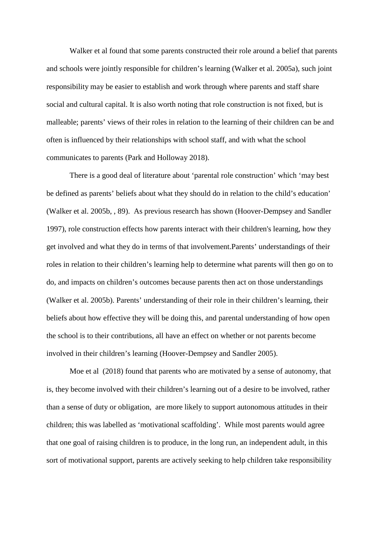Walker et al found that some parents constructed their role around a belief that parents and schools were jointly responsible for children's learning (Walker et al. 2005a), such joint responsibility may be easier to establish and work through where parents and staff share social and cultural capital. It is also worth noting that role construction is not fixed, but is malleable; parents' views of their roles in relation to the learning of their children can be and often is influenced by their relationships with school staff, and with what the school communicates to parents (Park and Holloway 2018).

There is a good deal of literature about 'parental role construction' which 'may best be defined as parents' beliefs about what they should do in relation to the child's education' (Walker et al. 2005b, , 89). As previous research has shown (Hoover-Dempsey and Sandler 1997), role construction effects how parents interact with their children's learning, how they get involved and what they do in terms of that involvement.Parents' understandings of their roles in relation to their children's learning help to determine what parents will then go on to do, and impacts on children's outcomes because parents then act on those understandings (Walker et al. 2005b). Parents' understanding of their role in their children's learning, their beliefs about how effective they will be doing this, and parental understanding of how open the school is to their contributions, all have an effect on whether or not parents become involved in their children's learning (Hoover-Dempsey and Sandler 2005).

Moe et al (2018) found that parents who are motivated by a sense of autonomy, that is, they become involved with their children's learning out of a desire to be involved, rather than a sense of duty or obligation, are more likely to support autonomous attitudes in their children; this was labelled as 'motivational scaffolding'. While most parents would agree that one goal of raising children is to produce, in the long run, an independent adult, in this sort of motivational support, parents are actively seeking to help children take responsibility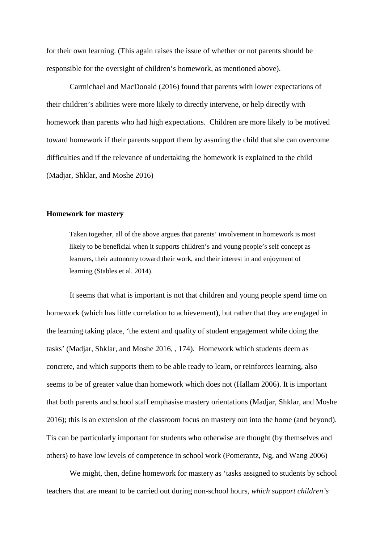for their own learning. (This again raises the issue of whether or not parents should be responsible for the oversight of children's homework, as mentioned above).

Carmichael and MacDonald (2016) found that parents with lower expectations of their children's abilities were more likely to directly intervene, or help directly with homework than parents who had high expectations. Children are more likely to be motived toward homework if their parents support them by assuring the child that she can overcome difficulties and if the relevance of undertaking the homework is explained to the child (Madjar, Shklar, and Moshe 2016)

#### **Homework for mastery**

Taken together, all of the above argues that parents' involvement in homework is most likely to be beneficial when it supports children's and young people's self concept as learners, their autonomy toward their work, and their interest in and enjoyment of learning (Stables et al. 2014).

It seems that what is important is not that children and young people spend time on homework (which has little correlation to achievement), but rather that they are engaged in the learning taking place, 'the extent and quality of student engagement while doing the tasks' (Madjar, Shklar, and Moshe 2016, , 174). Homework which students deem as concrete, and which supports them to be able ready to learn, or reinforces learning, also seems to be of greater value than homework which does not (Hallam 2006). It is important that both parents and school staff emphasise mastery orientations (Madjar, Shklar, and Moshe 2016); this is an extension of the classroom focus on mastery out into the home (and beyond). Tis can be particularly important for students who otherwise are thought (by themselves and others) to have low levels of competence in school work (Pomerantz, Ng, and Wang 2006)

We might, then, define homework for mastery as 'tasks assigned to students by school teachers that are meant to be carried out during non-school hours, *which support children's*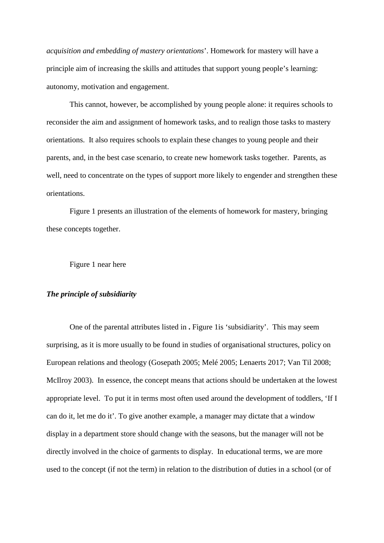*acquisition and embedding of mastery orientations*'. Homework for mastery will have a principle aim of increasing the skills and attitudes that support young people's learning: autonomy, motivation and engagement.

This cannot, however, be accomplished by young people alone: it requires schools to reconsider the aim and assignment of homework tasks, and to realign those tasks to mastery orientations. It also requires schools to explain these changes to young people and their parents, and, in the best case scenario, to create new homework tasks together. Parents, as well, need to concentrate on the types of support more likely to engender and strengthen these orientations.

Figure 1 presents an illustration of the elements of homework for mastery, bringing these concepts together.

Figure 1 near here

# *The principle of subsidiarity*

One of the parental attributes listed in **.** Figure 1is 'subsidiarity'. This may seem surprising, as it is more usually to be found in studies of organisational structures, policy on European relations and theology (Gosepath 2005; Melé 2005; Lenaerts 2017; Van Til 2008; McIlroy 2003). In essence, the concept means that actions should be undertaken at the lowest appropriate level. To put it in terms most often used around the development of toddlers, 'If I can do it, let me do it'. To give another example, a manager may dictate that a window display in a department store should change with the seasons, but the manager will not be directly involved in the choice of garments to display. In educational terms, we are more used to the concept (if not the term) in relation to the distribution of duties in a school (or of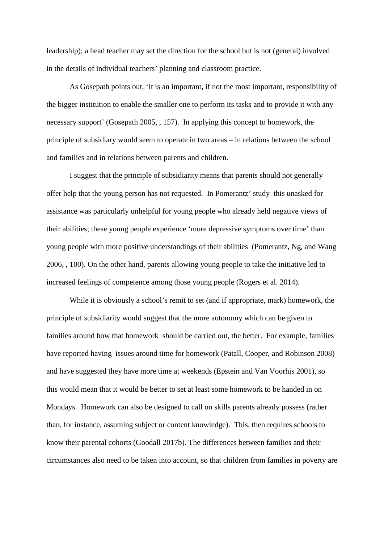leadership); a head teacher may set the direction for the school but is not (general) involved in the details of individual teachers' planning and classroom practice.

As Gosepath points out, 'It is an important, if not the most important, responsibility of the bigger institution to enable the smaller one to perform its tasks and to provide it with any necessary support' (Gosepath 2005, , 157). In applying this concept to homework, the principle of subsidiary would seem to operate in two areas – in relations between the school and families and in relations between parents and children.

I suggest that the principle of subsidiarity means that parents should not generally offer help that the young person has not requested. In Pomerantz' study this unasked for assistance was particularly unhelpful for young people who already held negative views of their abilities; these young people experience 'more depressive symptoms over time' than young people with more positive understandings of their abilities (Pomerantz, Ng, and Wang 2006, , 100). On the other hand, parents allowing young people to take the initiative led to increased feelings of competence among those young people (Rogers et al. 2014).

While it is obviously a school's remit to set (and if appropriate, mark) homework, the principle of subsidiarity would suggest that the more autonomy which can be given to families around how that homework should be carried out, the better. For example, families have reported having issues around time for homework (Patall, Cooper, and Robinson 2008) and have suggested they have more time at weekends (Epstein and Van Voorhis 2001), so this would mean that it would be better to set at least some homework to be handed in on Mondays. Homework can also be designed to call on skills parents already possess (rather than, for instance, assuming subject or content knowledge). This, then requires schools to know their parental cohorts (Goodall 2017b). The differences between families and their circumstances also need to be taken into account, so that children from families in poverty are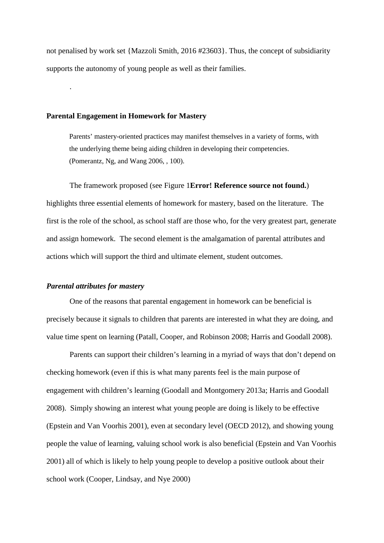not penalised by work set {Mazzoli Smith, 2016 #23603}. Thus, the concept of subsidiarity supports the autonomy of young people as well as their families.

## **Parental Engagement in Homework for Mastery**

.

Parents' mastery-oriented practices may manifest themselves in a variety of forms, with the underlying theme being aiding children in developing their competencies. (Pomerantz, Ng, and Wang 2006, , 100).

The framework proposed (see Figure 1**Error! Reference source not found.**) highlights three essential elements of homework for mastery, based on the literature. The first is the role of the school, as school staff are those who, for the very greatest part, generate and assign homework. The second element is the amalgamation of parental attributes and actions which will support the third and ultimate element, student outcomes.

#### *Parental attributes for mastery*

One of the reasons that parental engagement in homework can be beneficial is precisely because it signals to children that parents are interested in what they are doing, and value time spent on learning (Patall, Cooper, and Robinson 2008; Harris and Goodall 2008).

Parents can support their children's learning in a myriad of ways that don't depend on checking homework (even if this is what many parents feel is the main purpose of engagement with children's learning (Goodall and Montgomery 2013a; Harris and Goodall 2008). Simply showing an interest what young people are doing is likely to be effective (Epstein and Van Voorhis 2001), even at secondary level (OECD 2012), and showing young people the value of learning, valuing school work is also beneficial (Epstein and Van Voorhis 2001) all of which is likely to help young people to develop a positive outlook about their school work (Cooper, Lindsay, and Nye 2000)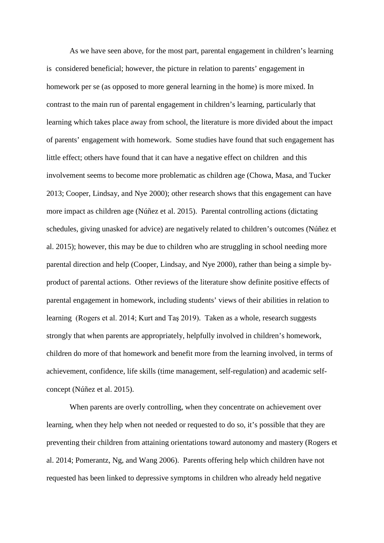As we have seen above, for the most part, parental engagement in children's learning is considered beneficial; however, the picture in relation to parents' engagement in homework per se (as opposed to more general learning in the home) is more mixed. In contrast to the main run of parental engagement in children's learning, particularly that learning which takes place away from school, the literature is more divided about the impact of parents' engagement with homework. Some studies have found that such engagement has little effect; others have found that it can have a negative effect on children and this involvement seems to become more problematic as children age (Chowa, Masa, and Tucker 2013; Cooper, Lindsay, and Nye 2000); other research shows that this engagement can have more impact as children age (Núñez et al. 2015). Parental controlling actions (dictating schedules, giving unasked for advice) are negatively related to children's outcomes (Núñez et al. 2015); however, this may be due to children who are struggling in school needing more parental direction and help (Cooper, Lindsay, and Nye 2000), rather than being a simple byproduct of parental actions. Other reviews of the literature show definite positive effects of parental engagement in homework, including students' views of their abilities in relation to learning (Rogers et al. 2014; Kurt and Taş 2019). Taken as a whole, research suggests strongly that when parents are appropriately, helpfully involved in children's homework, children do more of that homework and benefit more from the learning involved, in terms of achievement, confidence, life skills (time management, self-regulation) and academic selfconcept (Núñez et al. 2015).

When parents are overly controlling, when they concentrate on achievement over learning, when they help when not needed or requested to do so, it's possible that they are preventing their children from attaining orientations toward autonomy and mastery (Rogers et al. 2014; Pomerantz, Ng, and Wang 2006). Parents offering help which children have not requested has been linked to depressive symptoms in children who already held negative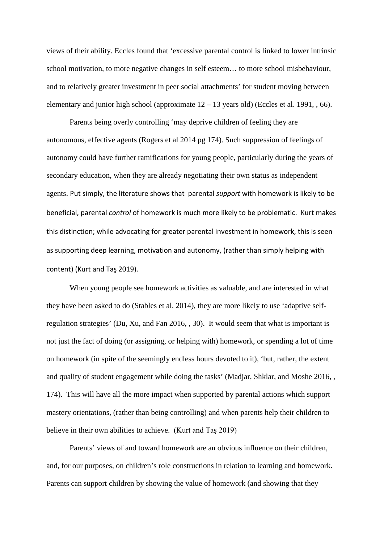views of their ability. Eccles found that 'excessive parental control is linked to lower intrinsic school motivation, to more negative changes in self esteem… to more school misbehaviour, and to relatively greater investment in peer social attachments' for student moving between elementary and junior high school (approximate  $12 - 13$  years old) (Eccles et al. 1991, , 66).

Parents being overly controlling 'may deprive children of feeling they are autonomous, effective agents (Rogers et al 2014 pg 174). Such suppression of feelings of autonomy could have further ramifications for young people, particularly during the years of secondary education, when they are already negotiating their own status as independent agents. Put simply, the literature shows that parental *support* with homework is likely to be beneficial, parental *control* of homework is much more likely to be problematic. Kurt makes this distinction; while advocating for greater parental investment in homework, this is seen as supporting deep learning, motivation and autonomy, (rather than simply helping with content) (Kurt and Taş 2019).

When young people see homework activities as valuable, and are interested in what they have been asked to do (Stables et al. 2014), they are more likely to use 'adaptive selfregulation strategies' (Du, Xu, and Fan 2016, , 30). It would seem that what is important is not just the fact of doing (or assigning, or helping with) homework, or spending a lot of time on homework (in spite of the seemingly endless hours devoted to it), 'but, rather, the extent and quality of student engagement while doing the tasks' (Madjar, Shklar, and Moshe 2016, , 174). This will have all the more impact when supported by parental actions which support mastery orientations, (rather than being controlling) and when parents help their children to believe in their own abilities to achieve. (Kurt and Taş 2019)

Parents' views of and toward homework are an obvious influence on their children, and, for our purposes, on children's role constructions in relation to learning and homework. Parents can support children by showing the value of homework (and showing that they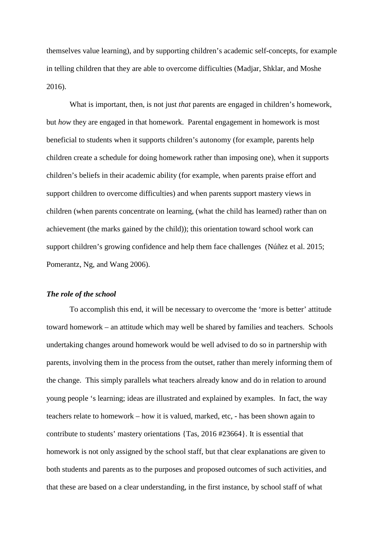themselves value learning), and by supporting children's academic self-concepts, for example in telling children that they are able to overcome difficulties (Madjar, Shklar, and Moshe 2016).

What is important, then, is not just *that* parents are engaged in children's homework, but *how* they are engaged in that homework. Parental engagement in homework is most beneficial to students when it supports children's autonomy (for example, parents help children create a schedule for doing homework rather than imposing one), when it supports children's beliefs in their academic ability (for example, when parents praise effort and support children to overcome difficulties) and when parents support mastery views in children (when parents concentrate on learning, (what the child has learned) rather than on achievement (the marks gained by the child)); this orientation toward school work can support children's growing confidence and help them face challenges (Núñez et al. 2015; Pomerantz, Ng, and Wang 2006).

# *The role of the school*

To accomplish this end, it will be necessary to overcome the 'more is better' attitude toward homework – an attitude which may well be shared by families and teachers. Schools undertaking changes around homework would be well advised to do so in partnership with parents, involving them in the process from the outset, rather than merely informing them of the change. This simply parallels what teachers already know and do in relation to around young people 's learning; ideas are illustrated and explained by examples. In fact, the way teachers relate to homework – how it is valued, marked, etc, - has been shown again to contribute to students' mastery orientations {Tas, 2016 #23664}. It is essential that homework is not only assigned by the school staff, but that clear explanations are given to both students and parents as to the purposes and proposed outcomes of such activities, and that these are based on a clear understanding, in the first instance, by school staff of what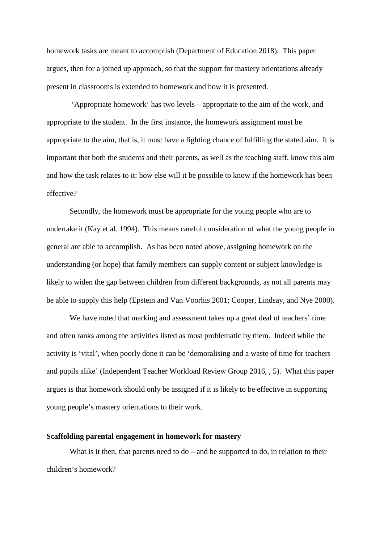homework tasks are meant to accomplish (Department of Education 2018). This paper argues, then for a joined up approach, so that the support for mastery orientations already present in classrooms is extended to homework and how it is presented.

'Appropriate homework' has two levels – appropriate to the aim of the work, and appropriate to the student. In the first instance, the homework assignment must be appropriate to the aim, that is, it must have a fighting chance of fulfilling the stated aim. It is important that both the students and their parents, as well as the teaching staff, know this aim and how the task relates to it: how else will it be possible to know if the homework has been effective?

Secondly, the homework must be appropriate for the young people who are to undertake it (Kay et al. 1994). This means careful consideration of what the young people in general are able to accomplish. As has been noted above, assigning homework on the understanding (or hope) that family members can supply content or subject knowledge is likely to widen the gap between children from different backgrounds, as not all parents may be able to supply this help (Epstein and Van Voorhis 2001; Cooper, Lindsay, and Nye 2000).

We have noted that marking and assessment takes up a great deal of teachers' time and often ranks among the activities listed as most problematic by them. Indeed while the activity is 'vital', when poorly done it can be 'demoralising and a waste of time for teachers and pupils alike' (Independent Teacher Workload Review Group 2016, , 5). What this paper argues is that homework should only be assigned if it is likely to be effective in supporting young people's mastery orientations to their work.

# **Scaffolding parental engagement in homework for mastery**

What is it then, that parents need to  $do$  – and be supported to  $do$ , in relation to their children's homework?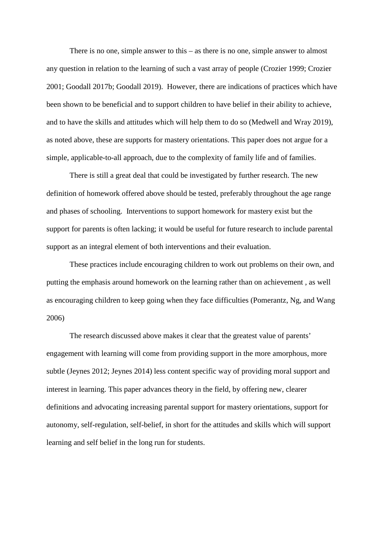There is no one, simple answer to this – as there is no one, simple answer to almost any question in relation to the learning of such a vast array of people (Crozier 1999; Crozier 2001; Goodall 2017b; Goodall 2019). However, there are indications of practices which have been shown to be beneficial and to support children to have belief in their ability to achieve, and to have the skills and attitudes which will help them to do so (Medwell and Wray 2019), as noted above, these are supports for mastery orientations. This paper does not argue for a simple, applicable-to-all approach, due to the complexity of family life and of families.

There is still a great deal that could be investigated by further research. The new definition of homework offered above should be tested, preferably throughout the age range and phases of schooling. Interventions to support homework for mastery exist but the support for parents is often lacking; it would be useful for future research to include parental support as an integral element of both interventions and their evaluation.

These practices include encouraging children to work out problems on their own, and putting the emphasis around homework on the learning rather than on achievement , as well as encouraging children to keep going when they face difficulties (Pomerantz, Ng, and Wang 2006)

The research discussed above makes it clear that the greatest value of parents' engagement with learning will come from providing support in the more amorphous, more subtle (Jeynes 2012; Jeynes 2014) less content specific way of providing moral support and interest in learning. This paper advances theory in the field, by offering new, clearer definitions and advocating increasing parental support for mastery orientations, support for autonomy, self-regulation, self-belief, in short for the attitudes and skills which will support learning and self belief in the long run for students.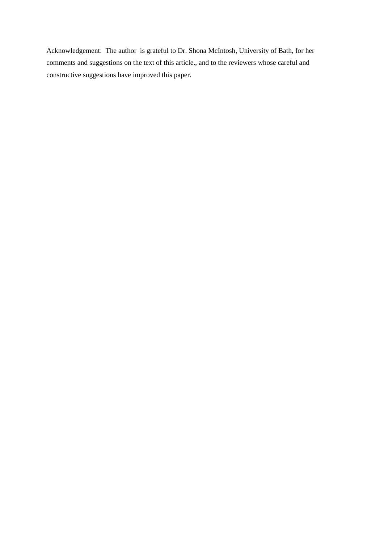Acknowledgement: The author is grateful to Dr. Shona McIntosh, University of Bath, for her comments and suggestions on the text of this article., and to the reviewers whose careful and constructive suggestions have improved this paper.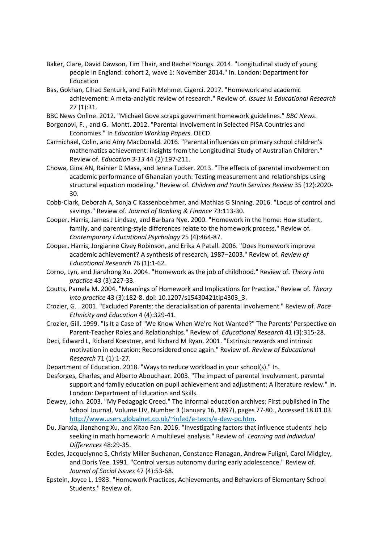- Baker, Clare, David Dawson, Tim Thair, and Rachel Youngs. 2014. "Longitudinal study of young people in England: cohort 2, wave 1: November 2014." In. London: Department for Education
- Bas, Gokhan, Cihad Senturk, and Fatih Mehmet Cigerci. 2017. "Homework and academic achievement: A meta-analytic review of research." Review of*. Issues in Educational Research* 27 (1):31.
- BBC News Online. 2012. "Michael Gove scraps government homework guidelines." *BBC News*.
- Borgonovi, F. , and G. Montt. 2012. "Parental Involvement in Selected PISA Countries and Economies." In *Education Working Papers*. OECD.
- Carmichael, Colin, and Amy MacDonald. 2016. "Parental influences on primary school children's mathematics achievement: insights from the Longitudinal Study of Australian Children." Review of*. Education 3-13* 44 (2):197-211.
- Chowa, Gina AN, Rainier D Masa, and Jenna Tucker. 2013. "The effects of parental involvement on academic performance of Ghanaian youth: Testing measurement and relationships using structural equation modeling." Review of*. Children and Youth Services Review* 35 (12):2020- 30.
- Cobb-Clark, Deborah A, Sonja C Kassenboehmer, and Mathias G Sinning. 2016. "Locus of control and savings." Review of*. Journal of Banking & Finance* 73:113-30.
- Cooper, Harris, James J Lindsay, and Barbara Nye. 2000. "Homework in the home: How student, family, and parenting-style differences relate to the homework process." Review of*. Contemporary Educational Psychology* 25 (4):464-87.
- Cooper, Harris, Jorgianne Civey Robinson, and Erika A Patall. 2006. "Does homework improve academic achievement? A synthesis of research, 1987–2003." Review of*. Review of Educational Research* 76 (1):1-62.
- Corno, Lyn, and Jianzhong Xu. 2004. "Homework as the job of childhood." Review of*. Theory into practice* 43 (3):227-33.
- Coutts, Pamela M. 2004. "Meanings of Homework and Implications for Practice." Review of*. Theory into practice* 43 (3):182-8. doi: 10.1207/s15430421tip4303\_3.
- Crozier, G. . 2001. "Excluded Parents: the deracialisation of parental involvement " Review of*. Race Ethnicity and Education* 4 (4):329-41.
- Crozier, Gill. 1999. "Is It a Case of "We Know When We're Not Wanted?" The Parents' Perspective on Parent-Teacher Roles and Relationships." Review of*. Educational Research* 41 (3):315-28.
- Deci, Edward L, Richard Koestner, and Richard M Ryan. 2001. "Extrinsic rewards and intrinsic motivation in education: Reconsidered once again." Review of*. Review of Educational Research* 71 (1):1-27.
- Department of Education. 2018. "Ways to reduce workload in your school(s)." In.
- Desforges, Charles, and Alberto Abouchaar. 2003. "The impact of parental involvement, parental support and family education on pupil achievement and adjustment: A literature review." In. London: Department of Education and Skills.
- Dewey, John. 2003. "My Pedagogic Creed." The informal education archives; First published in The School Journal, Volume LIV, Number 3 (January 16, 1897), pages 77-80., Accessed 18.01.03. [http://www.users.globalnet.co.uk/~infed/e](http://www.users.globalnet.co.uk/%7Einfed/e-texts/e-dew-pc.htm)-texts/e-dew-pc.htm.
- Du, Jianxia, Jianzhong Xu, and Xitao Fan. 2016. "Investigating factors that influence students' help seeking in math homework: A multilevel analysis." Review of*. Learning and Individual Differences* 48:29-35.
- Eccles, Jacquelynne S, Christy Miller Buchanan, Constance Flanagan, Andrew Fuligni, Carol Midgley, and Doris Yee. 1991. "Control versus autonomy during early adolescence." Review of*. Journal of Social Issues* 47 (4):53-68.
- Epstein, Joyce L. 1983. "Homework Practices, Achievements, and Behaviors of Elementary School Students." Review of*.*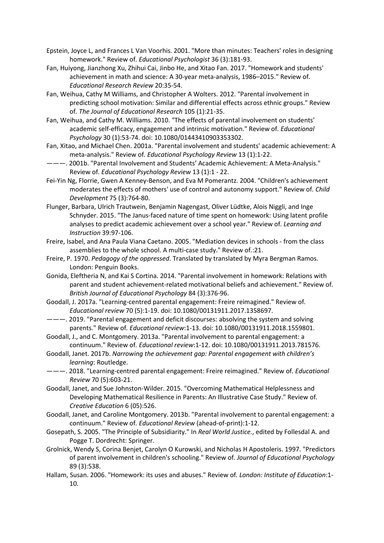- Epstein, Joyce L, and Frances L Van Voorhis. 2001. "More than minutes: Teachers' roles in designing homework." Review of*. Educational Psychologist* 36 (3):181-93.
- Fan, Huiyong, Jianzhong Xu, Zhihui Cai, Jinbo He, and Xitao Fan. 2017. "Homework and students' achievement in math and science: A 30-year meta-analysis, 1986–2015." Review of*. Educational Research Review* 20:35-54.
- Fan, Weihua, Cathy M Williams, and Christopher A Wolters. 2012. "Parental involvement in predicting school motivation: Similar and differential effects across ethnic groups." Review of*. The Journal of Educational Research* 105 (1):21-35.
- Fan, Weihua, and Cathy M. Williams. 2010. "The effects of parental involvement on students' academic self‐efficacy, engagement and intrinsic motivation." Review of*. Educational Psychology* 30 (1):53-74. doi: 10.1080/01443410903353302.
- Fan, Xitao, and Michael Chen. 2001a. "Parental involvement and students' academic achievement: A meta-analysis." Review of*. Educational Psychology Review* 13 (1):1-22.
- ———. 2001b. "Parental Involvement and Students' Academic Achievement: A Meta-Analysis." Review of*. Educational Psychology Review* 13 (1):1 - 22.
- Fei‐Yin Ng, Florrie, Gwen A Kenney‐Benson, and Eva M Pomerantz. 2004. "Children's achievement moderates the effects of mothers' use of control and autonomy support." Review of*. Child Development* 75 (3):764-80.
- Flunger, Barbara, Ulrich Trautwein, Benjamin Nagengast, Oliver Lüdtke, Alois Niggli, and Inge Schnyder. 2015. "The Janus-faced nature of time spent on homework: Using latent profile analyses to predict academic achievement over a school year." Review of*. Learning and Instruction* 39:97-106.
- Freire, Isabel, and Ana Paula Viana Caetano. 2005. "Mediation devices in schools from the class assemblies to the whole school. A multi-case study." Review of*.*:21.
- Freire, P. 1970. *Pedagogy of the oppressed*. Translated by translated by Myra Bergman Ramos. London: Penguin Books.
- Gonida, Eleftheria N, and Kai S Cortina. 2014. "Parental involvement in homework: Relations with parent and student achievement‐related motivational beliefs and achievement." Review of*. British Journal of Educational Psychology* 84 (3):376-96.
- Goodall, J. 2017a. "Learning-centred parental engagement: Freire reimagined." Review of*. Educational review* 70 (5):1-19. doi: 10.1080/00131911.2017.1358697.
- ———. 2019. "Parental engagement and deficit discourses: absolving the system and solving parents." Review of*. Educational review*:1-13. doi: 10.1080/00131911.2018.1559801.
- Goodall, J., and C. Montgomery. 2013a. "Parental involvement to parental engagement: a continuum." Review of*. Educational review*:1-12. doi: 10.1080/00131911.2013.781576.
- Goodall, Janet. 2017b. *Narrowing the achievement gap: Parental engagement with children's learning*: Routledge.
- ———. 2018. "Learning-centred parental engagement: Freire reimagined." Review of*. Educational Review* 70 (5):603-21.
- Goodall, Janet, and Sue Johnston-Wilder. 2015. "Overcoming Mathematical Helplessness and Developing Mathematical Resilience in Parents: An Illustrative Case Study." Review of*. Creative Education* 6 (05):526.
- Goodall, Janet, and Caroline Montgomery. 2013b. "Parental involvement to parental engagement: a continuum." Review of*. Educational Review* (ahead-of-print):1-12.
- Gosepath, S. 2005. "The Principle of Subsidiarity." In *Real World Justice.*, edited by Follesdal A. and Pogge T. Dordrecht: Springer.
- Grolnick, Wendy S, Corina Benjet, Carolyn O Kurowski, and Nicholas H Apostoleris. 1997. "Predictors of parent involvement in children's schooling." Review of*. Journal of Educational Psychology* 89 (3):538.
- Hallam, Susan. 2006. "Homework: its uses and abuses." Review of*. London: Institute of Education*:1- 10.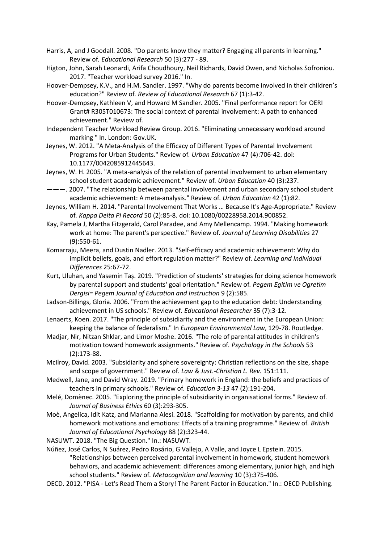- Harris, A, and J Goodall. 2008. "Do parents know they matter? Engaging all parents in learning." Review of*. Educational Research* 50 (3):277 - 89.
- Higton, John, Sarah Leonardi, Arifa Choudhoury, Neil Richards, David Owen, and Nicholas Sofroniou. 2017. "Teacher workload survey 2016." In.
- Hoover-Dempsey, K.V., and H.M. Sandler. 1997. "Why do parents become involved in their children's education?" Review of*. Review of Educational Research* 67 (1):3-42.
- Hoover-Dempsey, Kathleen V, and Howard M Sandler. 2005. "Final performance report for OERI Grant# R305T010673: The social context of parental involvement: A path to enhanced achievement." Review of*.*
- Independent Teacher Workload Review Group. 2016. "Eliminating unnecessary workload around marking " In. London: Gov.UK.
- Jeynes, W. 2012. "A Meta-Analysis of the Efficacy of Different Types of Parental Involvement Programs for Urban Students." Review of*. Urban Education* 47 (4):706-42. doi: 10.1177/0042085912445643.
- Jeynes, W. H. 2005. "A meta-analysis of the relation of parental involvement to urban elementary school student academic achievement." Review of*. Urban Education* 40 (3):237.
- ———. 2007. "The relationship between parental involvement and urban secondary school student academic achievement: A meta-analysis." Review of*. Urban Education* 42 (1):82.
- Jeynes, William H. 2014. "Parental Involvement That Works … Because It's Age-Appropriate." Review of*. Kappa Delta Pi Record* 50 (2):85-8. doi: 10.1080/00228958.2014.900852.
- Kay, Pamela J, Martha Fitzgerald, Carol Paradee, and Amy Mellencamp. 1994. "Making homework work at home: The parent's perspective." Review of*. Journal of Learning Disabilities* 27 (9):550-61.
- Komarraju, Meera, and Dustin Nadler. 2013. "Self-efficacy and academic achievement: Why do implicit beliefs, goals, and effort regulation matter?" Review of*. Learning and Individual Differences* 25:67-72.
- Kurt, Uluhan, and Yasemin Taş. 2019. "Prediction of students' strategies for doing science homework by parental support and students' goal orientation." Review of*. Pegem Egitim ve Ogretim Dergisi= Pegem Journal of Education and Instruction* 9 (2):585.
- Ladson-Billings, Gloria. 2006. "From the achievement gap to the education debt: Understanding achievement in US schools." Review of*. Educational Researcher* 35 (7):3-12.
- Lenaerts, Koen. 2017. "The principle of subsidiarity and the environment in the European Union: keeping the balance of federalism." In *European Environmental Law*, 129-78. Routledge.
- Madjar, Nir, Nitzan Shklar, and Limor Moshe. 2016. "The role of parental attitudes in children's motivation toward homework assignments." Review of*. Psychology in the Schools* 53 (2):173-88.
- McIlroy, David. 2003. "Subsidiarity and sphere sovereignty: Christian reflections on the size, shape and scope of government." Review of*. Law & Just.-Christian L. Rev.* 151:111.
- Medwell, Jane, and David Wray. 2019. "Primary homework in England: the beliefs and practices of teachers in primary schools." Review of*. Education 3-13* 47 (2):191-204.
- Melé, Domènec. 2005. "Exploring the principle of subsidiarity in organisational forms." Review of*. Journal of Business Ethics* 60 (3):293-305.
- Moè, Angelica, Idit Katz, and Marianna Alesi. 2018. "Scaffolding for motivation by parents, and child homework motivations and emotions: Effects of a training programme." Review of*. British Journal of Educational Psychology* 88 (2):323-44.
- NASUWT. 2018. "The Big Question." In.: NASUWT.
- Núñez, José Carlos, N Suárez, Pedro Rosário, G Vallejo, A Valle, and Joyce L Epstein. 2015. "Relationships between perceived parental involvement in homework, student homework behaviors, and academic achievement: differences among elementary, junior high, and high school students." Review of*. Metacognition and learning* 10 (3):375-406.
- OECD. 2012. "PISA Let's Read Them a Story! The Parent Factor in Education." In.: OECD Publishing.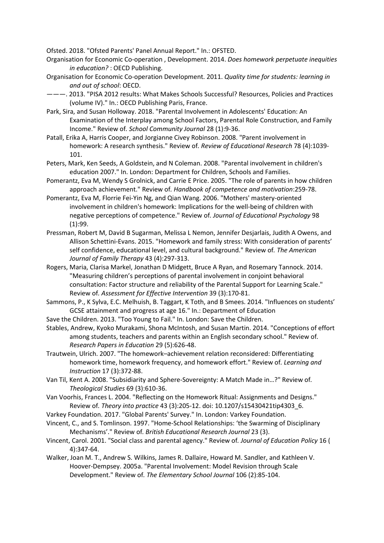Ofsted. 2018. "Ofsted Parents' Panel Annual Report." In.: OFSTED.

- Organisation for Economic Co-operation , Development. 2014. *Does homework perpetuate inequities in education?* : OECD Publishing.
- Organisation for Economic Co-operation Development. 2011. *Quality time for students: learning in and out of school*: OECD.
- ———. 2013. "PISA 2012 results: What Makes Schools Successful? Resources, Policies and Practices (volume IV)." In.: OECD Publishing Paris, France.
- Park, Sira, and Susan Holloway. 2018. "Parental Involvement in Adolescents' Education: An Examination of the Interplay among School Factors, Parental Role Construction, and Family Income." Review of*. School Community Journal* 28 (1):9-36.
- Patall, Erika A, Harris Cooper, and Jorgianne Civey Robinson. 2008. "Parent involvement in homework: A research synthesis." Review of*. Review of Educational Research* 78 (4):1039- 101.
- Peters, Mark, Ken Seeds, A Goldstein, and N Coleman. 2008. "Parental involvement in children's education 2007." In. London: Department for Children, Schools and Families.
- Pomerantz, Eva M, Wendy S Grolnick, and Carrie E Price. 2005. "The role of parents in how children approach achievement." Review of*. Handbook of competence and motivation*:259-78.
- Pomerantz, Eva M, Florrie Fei-Yin Ng, and Qian Wang. 2006. "Mothers' mastery-oriented involvement in children's homework: Implications for the well-being of children with negative perceptions of competence." Review of*. Journal of Educational Psychology* 98 (1):99.
- Pressman, Robert M, David B Sugarman, Melissa L Nemon, Jennifer Desjarlais, Judith A Owens, and Allison Schettini-Evans. 2015. "Homework and family stress: With consideration of parents' self confidence, educational level, and cultural background." Review of*. The American Journal of Family Therapy* 43 (4):297-313.
- Rogers, Maria, Clarisa Markel, Jonathan D Midgett, Bruce A Ryan, and Rosemary Tannock. 2014. "Measuring children's perceptions of parental involvement in conjoint behavioral consultation: Factor structure and reliability of the Parental Support for Learning Scale." Review of*. Assessment for Effective Intervention* 39 (3):170-81.
- Sammons, P., K Sylva, E.C. Melhuish, B. Taggart, K Toth, and B Smees. 2014. "Influences on students' GCSE attainment and progress at age 16." In.: Department of Education
- Save the Children. 2013. "Too Young to Fail." In. London: Save the Children.
- Stables, Andrew, Kyoko Murakami, Shona McIntosh, and Susan Martin. 2014. "Conceptions of effort among students, teachers and parents within an English secondary school." Review of*. Research Papers in Education* 29 (5):626-48.
- Trautwein, Ulrich. 2007. "The homework–achievement relation reconsidered: Differentiating homework time, homework frequency, and homework effort." Review of*. Learning and Instruction* 17 (3):372-88.
- Van Til, Kent A. 2008. "Subsidiarity and Sphere-Sovereignty: A Match Made in…?" Review of*. Theological Studies* 69 (3):610-36.
- Van Voorhis, Frances L. 2004. "Reflecting on the Homework Ritual: Assignments and Designs." Review of*. Theory into practice* 43 (3):205-12. doi: 10.1207/s15430421tip4303\_6.
- Varkey Foundation. 2017. "Global Parents' Survey." In. London: Varkey Foundation.
- Vincent, C., and S. Tomlinson. 1997. "Home-School Relationships: 'the Swarming of Disciplinary Mechanisms'." Review of*. British Educational Research Journal* 23 (3).
- Vincent, Carol. 2001. "Social class and parental agency." Review of*. Journal of Education Policy* 16 ( 4):347-64.
- Walker, Joan M. T., Andrew S. Wilkins, James R. Dallaire, Howard M. Sandler, and Kathleen V. Hoover-Dempsey. 2005a. "Parental Involvement: Model Revision through Scale Development." Review of*. The Elementary School Journal* 106 (2):85-104.